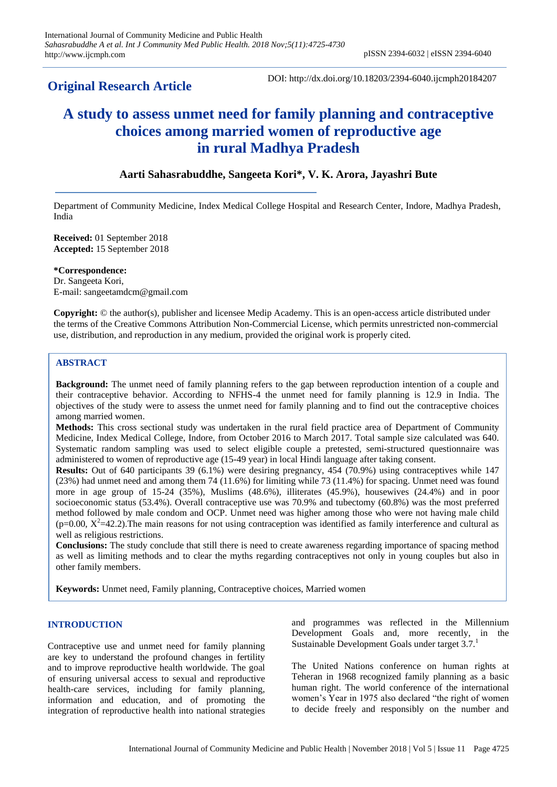# **Original Research Article**

DOI: http://dx.doi.org/10.18203/2394-6040.ijcmph20184207

# **A study to assess unmet need for family planning and contraceptive choices among married women of reproductive age in rural Madhya Pradesh**

# **Aarti Sahasrabuddhe, Sangeeta Kori\*, V. K. Arora, Jayashri Bute**

Department of Community Medicine, Index Medical College Hospital and Research Center, Indore, Madhya Pradesh, India

**Received:** 01 September 2018 **Accepted:** 15 September 2018

**\*Correspondence:** Dr. Sangeeta Kori, E-mail: sangeetamdcm@gmail.com

**Copyright:** © the author(s), publisher and licensee Medip Academy. This is an open-access article distributed under the terms of the Creative Commons Attribution Non-Commercial License, which permits unrestricted non-commercial use, distribution, and reproduction in any medium, provided the original work is properly cited.

## **ABSTRACT**

**Background:** The unmet need of family planning refers to the gap between reproduction intention of a couple and their contraceptive behavior. According to NFHS-4 the unmet need for family planning is 12.9 in India. The objectives of the study were to assess the unmet need for family planning and to find out the contraceptive choices among married women.

**Methods:** This cross sectional study was undertaken in the rural field practice area of Department of Community Medicine, Index Medical College, Indore, from October 2016 to March 2017. Total sample size calculated was 640. Systematic random sampling was used to select eligible couple a pretested, semi-structured questionnaire was administered to women of reproductive age (15-49 year) in local Hindi language after taking consent.

**Results:** Out of 640 participants 39 (6.1%) were desiring pregnancy, 454 (70.9%) using contraceptives while 147 (23%) had unmet need and among them 74 (11.6%) for limiting while 73 (11.4%) for spacing. Unmet need was found more in age group of 15-24 (35%), Muslims (48.6%), illiterates (45.9%), housewives (24.4%) and in poor socioeconomic status (53.4%). Overall contraceptive use was 70.9% and tubectomy (60.8%) was the most preferred method followed by male condom and OCP. Unmet need was higher among those who were not having male child  $(p=0.00, X^2=42.2)$ . The main reasons for not using contraception was identified as family interference and cultural as well as religious restrictions.

**Conclusions:** The study conclude that still there is need to create awareness regarding importance of spacing method as well as limiting methods and to clear the myths regarding contraceptives not only in young couples but also in other family members.

**Keywords:** Unmet need, Family planning, Contraceptive choices, Married women

# **INTRODUCTION**

Contraceptive use and unmet need for family planning are key to understand the profound changes in fertility and to improve reproductive health worldwide. The goal of ensuring universal access to sexual and reproductive health-care services, including for family planning, information and education, and of promoting the integration of reproductive health into national strategies and programmes was reflected in the Millennium Development Goals and, more recently, in the Sustainable Development Goals under target 3.7.<sup>1</sup>

The United Nations conference on human rights at Teheran in 1968 recognized family planning as a basic human right. The world conference of the international women's Year in 1975 also declared "the right of women to decide freely and responsibly on the number and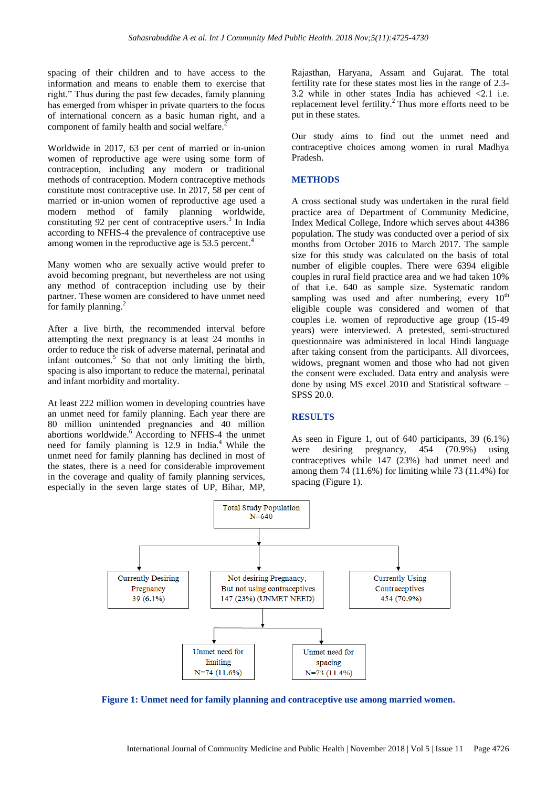spacing of their children and to have access to the information and means to enable them to exercise that right." Thus during the past few decades, family planning has emerged from whisper in private quarters to the focus of international concern as a basic human right, and a component of family health and social welfare.<sup>2</sup>

Worldwide in 2017, 63 per cent of married or in-union women of reproductive age were using some form of contraception, including any modern or traditional methods of contraception. Modern contraceptive methods constitute most contraceptive use. In 2017, 58 per cent of married or in-union women of reproductive age used a modern method of family planning worldwide, constituting 92 per cent of contraceptive users.<sup>3</sup> In India according to NFHS-4 the prevalence of contraceptive use among women in the reproductive age is 53.5 percent.<sup>4</sup>

Many women who are sexually active would prefer to avoid becoming pregnant, but nevertheless are not using any method of contraception including use by their partner. These women are considered to have unmet need for family planning. $^{2}$ 

After a live birth, the recommended interval before attempting the next pregnancy is at least 24 months in order to reduce the risk of adverse maternal, perinatal and infant outcomes. $5$  So that not only limiting the birth, spacing is also important to reduce the maternal, perinatal and infant morbidity and mortality.

At least 222 million women in developing countries have an unmet need for family planning. Each year there are 80 million unintended pregnancies and 40 million abortions worldwide.<sup>6</sup> According to NFHS-4 the unmet need for family planning is 12.9 in India.<sup>4</sup> While the unmet need for family planning has declined in most of the states, there is a need for considerable improvement in the coverage and quality of family planning services, especially in the seven large states of UP, Bihar, MP,

Rajasthan, Haryana, Assam and Gujarat. The total fertility rate for these states most lies in the range of 2.3- 3.2 while in other states India has achieved <2.1 i.e. replacement level fertility.<sup>2</sup> Thus more efforts need to be put in these states.

Our study aims to find out the unmet need and contraceptive choices among women in rural Madhya Pradesh.

#### **METHODS**

A cross sectional study was undertaken in the rural field practice area of Department of Community Medicine, Index Medical College, Indore which serves about 44386 population. The study was conducted over a period of six months from October 2016 to March 2017. The sample size for this study was calculated on the basis of total number of eligible couples. There were 6394 eligible couples in rural field practice area and we had taken 10% of that i.e. 640 as sample size. Systematic random sampling was used and after numbering, every  $10^{th}$ eligible couple was considered and women of that couples i.e. women of reproductive age group (15-49 years) were interviewed. A pretested, semi-structured questionnaire was administered in local Hindi language after taking consent from the participants. All divorcees, widows, pregnant women and those who had not given the consent were excluded. Data entry and analysis were done by using MS excel 2010 and Statistical software – SPSS 20.0.

#### **RESULTS**

As seen in Figure 1, out of 640 participants, 39 (6.1%) were desiring pregnancy, 454 (70.9%) using contraceptives while 147 (23%) had unmet need and among them 74 (11.6%) for limiting while 73 (11.4%) for spacing (Figure 1).



**Figure 1: Unmet need for family planning and contraceptive use among married women.**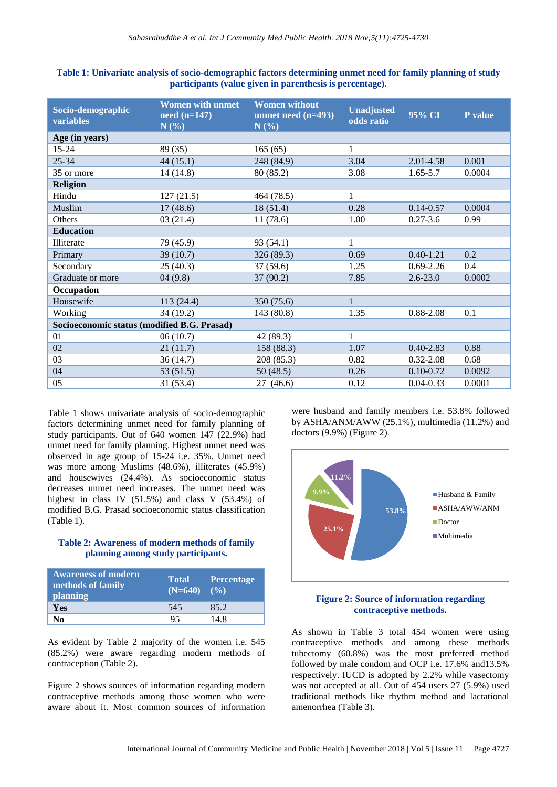| Table 1: Univariate analysis of socio-demographic factors determining unmet need for family planning of study |
|---------------------------------------------------------------------------------------------------------------|
| participants (value given in parenthesis is percentage).                                                      |

| Socio-demographic<br>variables              | <b>Women with unmet</b><br>$need (n=147)$<br>N(%) | <b>Women without</b><br>unmet need $(n=493)$<br>N(%) | <b>Unadjusted</b><br>odds ratio | 95% CI        | P value |
|---------------------------------------------|---------------------------------------------------|------------------------------------------------------|---------------------------------|---------------|---------|
| Age (in years)                              |                                                   |                                                      |                                 |               |         |
| $15 - 24$                                   | 89 (35)                                           | 165(65)                                              | $\mathbf{1}$                    |               |         |
| $25 - 34$                                   | 44(15.1)                                          | 248 (84.9)                                           | 3.04                            | 2.01-4.58     | 0.001   |
| 35 or more                                  | 14(14.8)                                          | 80 (85.2)                                            | 3.08                            | $1.65 - 5.7$  | 0.0004  |
| <b>Religion</b>                             |                                                   |                                                      |                                 |               |         |
| Hindu                                       | 127(21.5)                                         | 464 (78.5)                                           | 1                               |               |         |
| Muslim                                      | 17(48.6)                                          | 18(51.4)                                             | 0.28                            | $0.14 - 0.57$ | 0.0004  |
| Others                                      | 03(21.4)                                          | 11(78.6)                                             | 1.00                            | $0.27 - 3.6$  | 0.99    |
| <b>Education</b>                            |                                                   |                                                      |                                 |               |         |
| Illiterate                                  | 79 (45.9)                                         | 93 (54.1)                                            | 1                               |               |         |
| Primary                                     | 39 (10.7)                                         | 326 (89.3)                                           | 0.69                            | $0.40 - 1.21$ | 0.2     |
| Secondary                                   | 25(40.3)                                          | 37(59.6)                                             | 1.25                            | $0.69 - 2.26$ | 0.4     |
| Graduate or more                            | 04(9.8)                                           | 37(90.2)                                             | 7.85                            | $2.6 - 23.0$  | 0.0002  |
| Occupation                                  |                                                   |                                                      |                                 |               |         |
| Housewife                                   | 113 (24.4)                                        | 350 (75.6)                                           | $\mathbf{1}$                    |               |         |
| Working                                     | 34 (19.2)                                         | 143(80.8)                                            | 1.35                            | 0.88-2.08     | 0.1     |
| Socioeconomic status (modified B.G. Prasad) |                                                   |                                                      |                                 |               |         |
| 01                                          | 06(10.7)                                          | 42 (89.3)                                            | 1                               |               |         |
| 02                                          | 21(11.7)                                          | 158 (88.3)                                           | 1.07                            | $0.40 - 2.83$ | 0.88    |
| 03                                          | 36(14.7)                                          | 208 (85.3)                                           | 0.82                            | $0.32 - 2.08$ | 0.68    |
| 04                                          | 53(51.5)                                          | 50(48.5)                                             | 0.26                            | $0.10 - 0.72$ | 0.0092  |
| 05                                          | 31 (53.4)                                         | 27 (46.6)                                            | 0.12                            | $0.04 - 0.33$ | 0.0001  |

Table 1 shows univariate analysis of socio-demographic factors determining unmet need for family planning of study participants. Out of 640 women 147 (22.9%) had unmet need for family planning. Highest unmet need was observed in age group of 15-24 i.e. 35%. Unmet need was more among Muslims (48.6%), illiterates (45.9%) and housewives (24.4%). As socioeconomic status decreases unmet need increases. The unmet need was highest in class IV  $(51.5\%)$  and class V  $(53.4\%)$  of modified B.G. Prasad socioeconomic status classification (Table 1).

### **Table 2: Awareness of modern methods of family planning among study participants.**

| <b>Awareness of modern</b><br>methods of family<br><b>planning</b> | <b>Total</b><br>$(N=640)$ | Percentage<br>(9/0) |
|--------------------------------------------------------------------|---------------------------|---------------------|
| Yes                                                                | 545                       | 85.2                |
| No                                                                 | 95                        | 14.8                |

As evident by Table 2 majority of the women i.e. 545 (85.2%) were aware regarding modern methods of contraception (Table 2).

Figure 2 shows sources of information regarding modern contraceptive methods among those women who were aware about it. Most common sources of information

were husband and family members i.e. 53.8% followed by ASHA/ANM/AWW (25.1%), multimedia (11.2%) and doctors (9.9%) (Figure 2).



# **Figure 2: Source of information regarding contraceptive methods.**

As shown in Table 3 total 454 women were using contraceptive methods and among these methods tubectomy (60.8%) was the most preferred method followed by male condom and OCP i.e. 17.6% and13.5% respectively. IUCD is adopted by 2.2% while vasectomy was not accepted at all. Out of 454 users 27 (5.9%) used traditional methods like rhythm method and lactational amenorrhea (Table 3).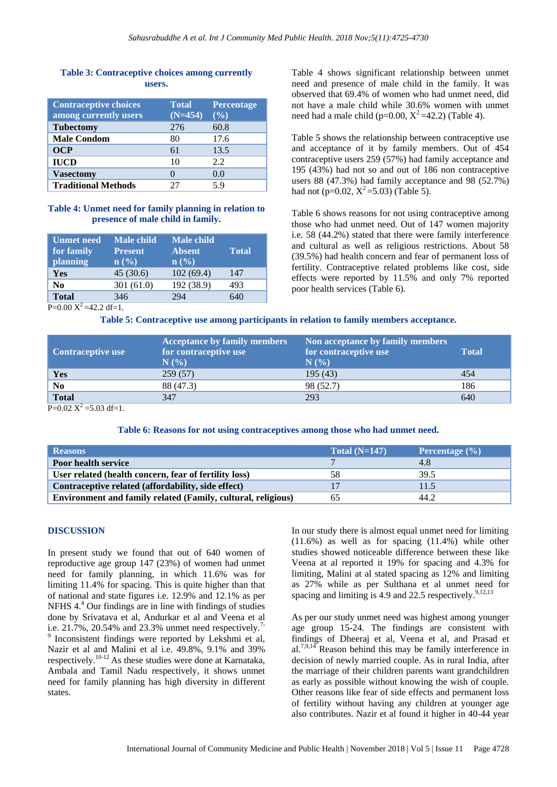## **Table 3: Contraceptive choices among currently users.**

| <b>Contraceptive choices</b><br>among currently users | <b>Total</b><br>$(N=454)$ | <b>Percentage</b><br>(9/0) |
|-------------------------------------------------------|---------------------------|----------------------------|
| <b>Tubectomy</b>                                      | 276                       | 60.8                       |
| <b>Male Condom</b>                                    | 80                        | 17.6                       |
| OCP                                                   | 61                        | 13.5                       |
| <b>IUCD</b>                                           | 10                        | 2.2                        |
| <b>Vasectomy</b>                                      |                           | 0.0                        |
| <b>Traditional Methods</b>                            |                           | 5 Q                        |

#### **Table 4: Unmet need for family planning in relation to presence of male child in family.**

| <b>Unmet need</b><br>for family<br>planning | <b>Male child</b><br>Present<br>$\mathbf{n}(\%)$ | <b>Male child</b><br><b>Absent</b><br>$\ln$ (%) | <b>Total</b> |
|---------------------------------------------|--------------------------------------------------|-------------------------------------------------|--------------|
| Yes                                         | 45(30.6)                                         | 102(69.4)                                       | 147          |
| N <sub>0</sub>                              | 301(61.0)                                        | 192 (38.9)                                      | 493          |
| <b>Total</b><br>h                           | 346                                              | 294                                             | 640          |

Table 4 shows significant relationship between unmet need and presence of male child in the family. It was observed that 69.4% of women who had unmet need, did not have a male child while 30.6% women with unmet need had a male child (p=0.00,  $X^2$ =42.2) (Table 4).

Table 5 shows the relationship between contraceptive use and acceptance of it by family members. Out of 454 contraceptive users 259 (57%) had family acceptance and 195 (43%) had not so and out of 186 non contraceptive users 88 (47.3%) had family acceptance and 98 (52.7%) had not (p=0.02,  $X^2$ =5.03) (Table 5).

Table 6 shows reasons for not using contraceptive among those who had unmet need. Out of 147 women majority i.e. 58 (44.2%) stated that there were family interference and cultural as well as religious restrictions. About 58 (39.5%) had health concern and fear of permanent loss of fertility. Contraceptive related problems like cost, side effects were reported by 11.5% and only 7% reported poor health services (Table 6).

 $P=0.00 \text{ X}^2 = 42.2 \text{ df}=1.$ 

**Table 5: Contraceptive use among participants in relation to family members acceptance.**

| <b>Contraceptive use</b> | <b>Acceptance by family members</b><br>for contraceptive use<br>N(% | Non acceptance by family members<br>for contraceptive use<br>N(% | <b>Total</b> |
|--------------------------|---------------------------------------------------------------------|------------------------------------------------------------------|--------------|
| Yes                      | 259(57)                                                             | 195 (43)                                                         | 454          |
| N <sub>0</sub>           | 88 (47.3)                                                           | 98 (52.7)                                                        | 186          |
| <b>Total</b>             | 347                                                                 | 293                                                              | 640          |

 $P=0.02 \text{ X}^2 = 5.03 \text{ df}=1.$ 

### **Table 6: Reasons for not using contraceptives among those who had unmet need.**

| <b>Reasons</b>                                               | Total $(N=147)$ | Percentage $(\% )$ |
|--------------------------------------------------------------|-----------------|--------------------|
| <b>Poor health service</b>                                   |                 | 4.8                |
| User related (health concern, fear of fertility loss)        | 58              | 39.5               |
| Contraceptive related (affordability, side effect)           |                 | 11.5               |
| Environment and family related (Family, cultural, religious) | 65              | 44.2               |

## **DISCUSSION**

In present study we found that out of 640 women of reproductive age group 147 (23%) of women had unmet need for family planning, in which 11.6% was for limiting 11.4% for spacing. This is quite higher than that of national and state figures i.e. 12.9% and 12.1% as per NFHS 4.<sup>4</sup> Our findings are in line with findings of studies done by Srivatava et al, Andurkar et al and Veena et al i.e.  $21.7\%$ ,  $20.54\%$  and  $23.3\%$  unmet need respectively.<sup>7-</sup> 9 Inconsistent findings were reported by Lekshmi et al, Nazir et al and Malini et al i.e. 49.8%, 9.1% and 39% respectively.10-12 As these studies were done at Karnataka, Ambala and Tamil Nadu respectively, it shows unmet need for family planning has high diversity in different states.

In our study there is almost equal unmet need for limiting (11.6%) as well as for spacing (11.4%) while other studies showed noticeable difference between these like Veena at al reported it 19% for spacing and 4.3% for limiting, Malini at al stated spacing as 12% and limiting as 27% while as per Sulthana et al unmet need for spacing and limiting is 4.9 and 22.5 respectively. $9,12,13$ 

As per our study unmet need was highest among younger age group 15-24. The findings are consistent with findings of Dheeraj et al, Veena et al, and Prasad et al.<sup>7,9,14</sup> Reason behind this may be family interference in decision of newly married couple. As in rural India, after the marriage of their children parents want grandchildren as early as possible without knowing the wish of couple. Other reasons like fear of side effects and permanent loss of fertility without having any children at younger age also contributes. Nazir et al found it higher in 40-44 year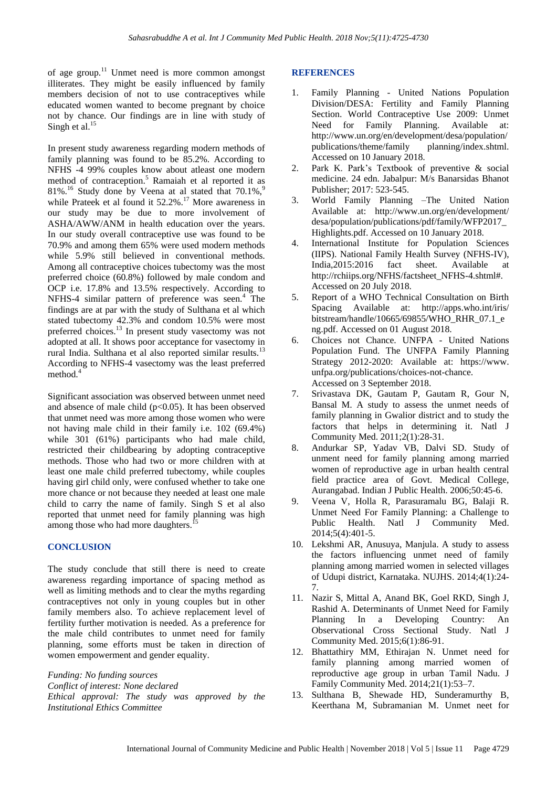of age group.<sup>11</sup> Unmet need is more common amongst illiterates. They might be easily influenced by family members decision of not to use contraceptives while educated women wanted to become pregnant by choice not by chance. Our findings are in line with study of Singh et al. $15$ 

In present study awareness regarding modern methods of family planning was found to be 85.2%. According to NFHS -4 99% couples know about atleast one modern method of contraception.<sup>5</sup> Ramaiah et al reported it as  $81\%$ .<sup>16</sup> Study done by Veena at al stated that  $70.1\%$ ,<sup>9</sup> while Prateek et al found it 52.2%.<sup>17</sup> More awareness in our study may be due to more involvement of ASHA/AWW/ANM in health education over the years. In our study overall contraceptive use was found to be 70.9% and among them 65% were used modern methods while 5.9% still believed in conventional methods. Among all contraceptive choices tubectomy was the most preferred choice (60.8%) followed by male condom and OCP i.e. 17.8% and 13.5% respectively. According to NFHS-4 similar pattern of preference was seen.<sup>4</sup> The findings are at par with the study of Sulthana et al which stated tubectomy 42.3% and condom 10.5% were most preferred choices.<sup>13</sup> In present study vasectomy was not adopted at all. It shows poor acceptance for vasectomy in rural India. Sulthana et al also reported similar results.<sup>13</sup> According to NFHS-4 vasectomy was the least preferred method.<sup>4</sup>

Significant association was observed between unmet need and absence of male child  $(p<0.05)$ . It has been observed that unmet need was more among those women who were not having male child in their family i.e. 102 (69.4%) while 301 (61%) participants who had male child, restricted their childbearing by adopting contraceptive methods. Those who had two or more children with at least one male child preferred tubectomy, while couples having girl child only, were confused whether to take one more chance or not because they needed at least one male child to carry the name of family. Singh S et al also reported that unmet need for family planning was high among those who had more daughters.

#### **CONCLUSION**

The study conclude that still there is need to create awareness regarding importance of spacing method as well as limiting methods and to clear the myths regarding contraceptives not only in young couples but in other family members also. To achieve replacement level of fertility further motivation is needed. As a preference for the male child contributes to unmet need for family planning, some efforts must be taken in direction of women empowerment and gender equality.

*Funding: No funding sources*

*Conflict of interest: None declared*

*Ethical approval: The study was approved by the Institutional Ethics Committee*

#### **REFERENCES**

- 1. Family Planning United Nations Population Division/DESA: Fertility and Family Planning Section. World Contraceptive Use 2009: Unmet Need for Family Planning. Available at: http://www.un.org/en/development/desa/population/ publications/theme/family planning/index.shtml. Accessed on 10 January 2018.
- 2. Park K. Park's Textbook of preventive & social medicine. 24 edn. Jabalpur: M/s Banarsidas Bhanot Publisher; 2017: 523-545.
- 3. World Family Planning –The United Nation Available at: http://www.un.org/en/development/ desa/population/publications/pdf/family/WFP2017\_ Highlights.pdf. Accessed on 10 January 2018.
- 4. International Institute for Population Sciences (IIPS). National Family Health Survey (NFHS-IV), India,2015:2016 fact sheet. Available at http://rchiips.org/NFHS/factsheet\_NFHS-4.shtml#. Accessed on 20 July 2018.
- 5. Report of a WHO Technical Consultation on Birth Spacing Available at: http://apps.who.int/iris/ bitstream/handle/10665/69855/WHO\_RHR\_07.1\_e ng.pdf. Accessed on 01 August 2018.
- 6. Choices not Chance. UNFPA United Nations Population Fund. The UNFPA Family Planning Strategy 2012-2020: Available at: https://www. unfpa.org/publications/choices-not-chance. Accessed on 3 September 2018.
- 7. Srivastava DK, Gautam P, Gautam R, Gour N, Bansal M. A study to assess the unmet needs of family planning in Gwalior district and to study the factors that helps in determining it. Natl J Community Med. 2011;2(1):28-31.
- 8. Andurkar SP, Yadav VB, Dalvi SD. Study of unment need for family planning among married women of reproductive age in urban health central field practice area of Govt. Medical College, Aurangabad. Indian J Public Health. 2006;50:45-6.
- 9. Veena V, Holla R, Parasuramalu BG, Balaji R. Unmet Need For Family Planning: a Challenge to Public Health. Natl J Community Med. 2014;5(4):401-5.
- 10. Lekshmi AR, Anusuya, Manjula. A study to assess the factors influencing unmet need of family planning among married women in selected villages of Udupi district, Karnataka. NUJHS. 2014;4(1):24- 7.
- 11. Nazir S, Mittal A, Anand BK, Goel RKD, Singh J, Rashid A. Determinants of Unmet Need for Family Planning In a Developing Country: An Observational Cross Sectional Study. Natl J Community Med. 2015;6(1):86-91.
- 12. Bhattathiry MM, Ethirajan N. Unmet need for family planning among married women of reproductive age group in urban Tamil Nadu. J Family Community Med. 2014;21(1):53–7.
- 13. Sulthana B, Shewade HD, Sunderamurthy B, Keerthana M, Subramanian M. Unmet neet for